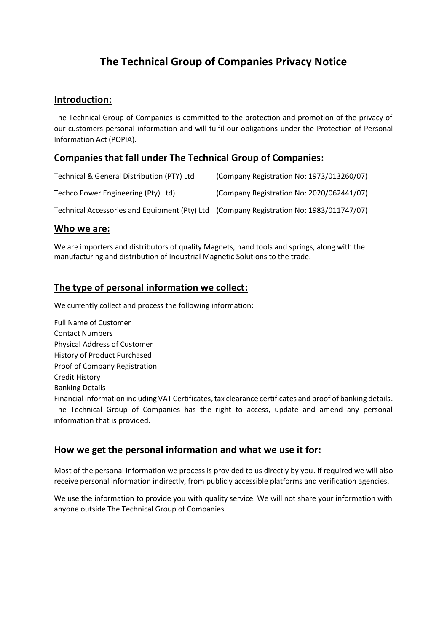# **The Technical Group of Companies Privacy Notice**

### **Introduction:**

The Technical Group of Companies is committed to the protection and promotion of the privacy of our customers personal information and will fulfil our obligations under the Protection of Personal Information Act (POPIA).

## **Companies that fall under The Technical Group of Companies:**

| Technical & General Distribution (PTY) Ltd                                              | (Company Registration No: 1973/013260/07) |
|-----------------------------------------------------------------------------------------|-------------------------------------------|
| Techco Power Engineering (Pty) Ltd)                                                     | (Company Registration No: 2020/062441/07) |
| Technical Accessories and Equipment (Pty) Ltd (Company Registration No: 1983/011747/07) |                                           |

#### **Who we are:**

We are importers and distributors of quality Magnets, hand tools and springs, along with the manufacturing and distribution of Industrial Magnetic Solutions to the trade.

## **The type of personal information we collect:**

We currently collect and process the following information:

Full Name of Customer Contact Numbers Physical Address of Customer History of Product Purchased Proof of Company Registration Credit History Banking Details Financial information including VAT Certificates, tax clearance certificates and proof of banking details. The Technical Group of Companies has the right to access, update and amend any personal information that is provided.

### **How we get the personal information and what we use it for:**

Most of the personal information we process is provided to us directly by you. If required we will also receive personal information indirectly, from publicly accessible platforms and verification agencies.

We use the information to provide you with quality service. We will not share your information with anyone outside The Technical Group of Companies.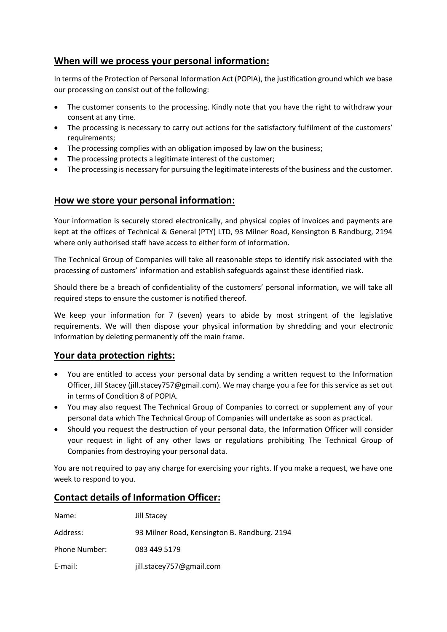## **When will we process your personal information:**

In terms of the Protection of Personal Information Act (POPIA), the justification ground which we base our processing on consist out of the following:

- The customer consents to the processing. Kindly note that you have the right to withdraw your consent at any time.
- The processing is necessary to carry out actions for the satisfactory fulfilment of the customers' requirements;
- The processing complies with an obligation imposed by law on the business;
- The processing protects a legitimate interest of the customer;
- The processing is necessary for pursuing the legitimate interests of the business and the customer.

## **How we store your personal information:**

Your information is securely stored electronically, and physical copies of invoices and payments are kept at the offices of Technical & General (PTY) LTD, 93 Milner Road, Kensington B Randburg, 2194 where only authorised staff have access to either form of information.

The Technical Group of Companies will take all reasonable steps to identify risk associated with the processing of customers' information and establish safeguards against these identified riask.

Should there be a breach of confidentiality of the customers' personal information, we will take all required steps to ensure the customer is notified thereof.

We keep your information for 7 (seven) years to abide by most stringent of the legislative requirements. We will then dispose your physical information by shredding and your electronic information by deleting permanently off the main frame.

### **Your data protection rights:**

- You are entitled to access your personal data by sending a written request to the Information Officer, Jill Stacey (jill.stacey757@gmail.com). We may charge you a fee for this service as set out in terms of Condition 8 of POPIA.
- You may also request The Technical Group of Companies to correct or supplement any of your personal data which The Technical Group of Companies will undertake as soon as practical.
- Should you request the destruction of your personal data, the Information Officer will consider your request in light of any other laws or regulations prohibiting The Technical Group of Companies from destroying your personal data.

You are not required to pay any charge for exercising your rights. If you make a request, we have one week to respond to you.

## **Contact details of Information Officer:**

| Name:         | Jill Stacey                                  |
|---------------|----------------------------------------------|
| Address:      | 93 Milner Road, Kensington B. Randburg. 2194 |
| Phone Number: | 083 449 5179                                 |
| E-mail:       | jill.stacey757@gmail.com                     |